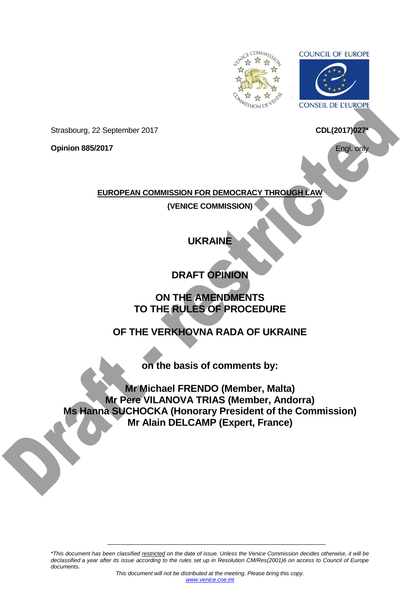

**COUNCIL OF EUROPE** 



<span id="page-0-0"></span>**CONSEIL DE L'EUROPE** 

**CDL(2017)027\***

Engl. only

Strasbourg, 22 September 2017

**Opinion 885/2017**

**EUROPEAN COMMISSION FOR DEMOCRACY THROUGH LAW**

**(VENICE COMMISSION)**

# **UKRAINE**

**DRAFT OPINION**

## **ON THE AMENDMENTS TO THE RULES OF PROCEDURE**

**OF THE VERKHOVNA RADA OF UKRAINE**

**on the basis of comments by:**

**Mr Michael FRENDO (Member, Malta) Mr Pere VILANOVA TRIAS (Member, Andorra) Ms Hanna SUCHOCKA (Honorary President of the Commission) Mr Alain DELCAMP (Expert, France)**

*\*This document has been classified restricted on the date of issue. Unless the Venice Commission decides otherwise, it will be declassified a year after its issue according to the rules set up in Resolution CM/Res(2001)6 on access to Council of Europe documents.*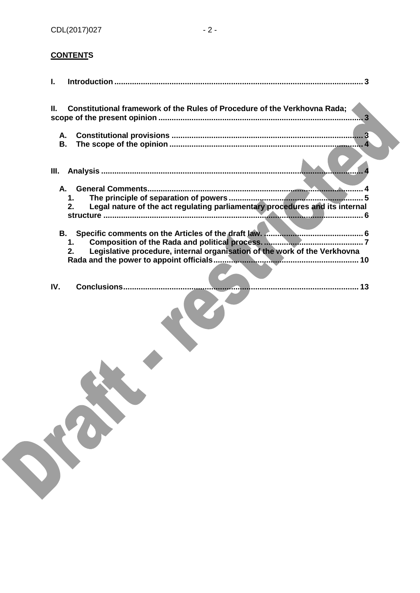## **CONTENTS**

| Constitutional framework of the Rules of Procedure of the Verkhovna Rada;<br>H.<br>. 3         |  |
|------------------------------------------------------------------------------------------------|--|
| А.<br>В.                                                                                       |  |
| III.                                                                                           |  |
| А.<br>1.<br>Legal nature of the act regulating parliamentary procedures and its internal<br>2. |  |
| В.<br>1.<br>Legislative procedure, internal organisation of the work of the Verkhovna<br>2.    |  |
| <b>Conclusions</b><br>IV.                                                                      |  |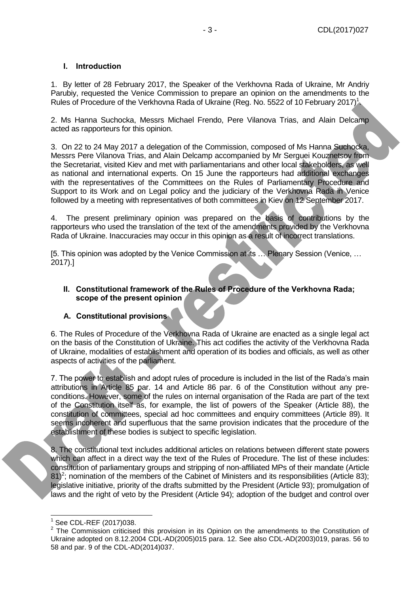### <span id="page-2-0"></span>**I. Introduction**

1. By letter of 28 February 2017, the Speaker of the Verkhovna Rada of Ukraine, Mr Andriy Parubiy, requested the Venice Commission to prepare an opinion on the amendments to the Rules of Procedure of the Verkhovna Rada of Ukraine (Reg. No. 5522 of 10 February 2017)<sup>1</sup>.

2. Ms Hanna Suchocka, Messrs Michael Frendo, Pere Vilanova Trias, and Alain Delcamp acted as rapporteurs for this opinion.

3. On 22 to 24 May 2017 a delegation of the Commission, composed of Ms Hanna Suchocka, Messrs Pere Vilanova Trias, and Alain Delcamp accompanied by Mr Serguei Kouznetsov from the Secretariat, visited Kiev and met with parliamentarians and other local stakeholders, as well as national and international experts. On 15 June the rapporteurs had additional exchanges with the representatives of the Committees on the Rules of Parliamentary Procedure and Support to its Work and on Legal policy and the judiciary of the Verkhovna Rada in Venice followed by a meeting with representatives of both committees in Kiev on 12 September 2017.

4. The present preliminary opinion was prepared on the basis of contributions by the rapporteurs who used the translation of the text of the amendments provided by the Verkhovna Rada of Ukraine. Inaccuracies may occur in this opinion as a result of incorrect translations.

[5. This opinion was adopted by the Venice Commission at its … Plenary Session (Venice, … 2017).]

#### <span id="page-2-1"></span>**II. Constitutional framework of the Rules of Procedure of the Verkhovna Rada; scope of the present opinion**

#### <span id="page-2-2"></span>**A. Constitutional provisions**

6. The Rules of Procedure of the Verkhovna Rada of Ukraine are enacted as a single legal act on the basis of the Constitution of Ukraine. This act codifies the activity of the Verkhovna Rada of Ukraine, modalities of establishment and operation of its bodies and officials, as well as other aspects of activities of the parliament.

7. The power to establish and adopt rules of procedure is included in the list of the Rada's main attributions in Article 85 par. 14 and Article 86 par. 6 of the Constitution without any preconditions. However, some of the rules on internal organisation of the Rada are part of the text of the Constitution itself as, for example, the list of powers of the Speaker (Article 88), the constitution of committees, special ad hoc committees and enquiry committees (Article 89). It seems incoherent and superfluous that the same provision indicates that the procedure of the establishment of these bodies is subject to specific legislation.

8. The constitutional text includes additional articles on relations between different state powers which can affect in a direct way the text of the Rules of Procedure. The list of these includes: constitution of parliamentary groups and stripping of non-affiliated MPs of their mandate (Article  $81$ <sup>2</sup>; nomination of the members of the Cabinet of Ministers and its responsibilities (Article 83); legislative initiative, priority of the drafts submitted by the President (Article 93); promulgation of laws and the right of veto by the President (Article 94); adoption of the budget and control over

<sup>-</sup>1 See CDL-REF (2017)038.

 $2$  The Commission criticised this provision in its Opinion on the amendments to the Constitution of Ukraine adopted on 8.12.2004 CDL-AD(2005)015 para. 12. See also CDL-AD(2003)019, paras. 56 to 58 and par. 9 of the CDL-AD(2014)037.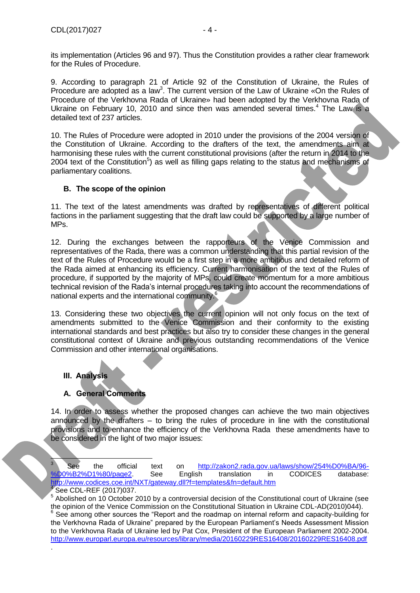its implementation (Articles 96 and 97). Thus the Constitution provides a rather clear framework for the Rules of Procedure.

9. According to paragraph 21 of Article 92 of the Constitution of Ukraine, the Rules of Procedure are adopted as a law<sup>3</sup>. The current version of the Law of Ukraine «On the Rules of Procedure of the Verkhovna Rada of Ukraine» had been adopted by the Verkhovna Rada of Ukraine on February 10, 2010 and since then was amended several times.<sup>4</sup> The Law is a detailed text of 237 articles.

10. The Rules of Procedure were adopted in 2010 under the provisions of the 2004 version of the Constitution of Ukraine. According to the drafters of the text, the amendments aim at harmonising these rules with the current constitutional provisions (after the return in 2014 to the 2004 text of the Constitution<sup>5</sup>) as well as filling gaps relating to the status and mechanisms of parliamentary coalitions.

### <span id="page-3-0"></span>**B. The scope of the opinion**

11. The text of the latest amendments was drafted by representatives of different political factions in the parliament suggesting that the draft law could be supported by a large number of MPs.

12. During the exchanges between the rapporteurs of the Venice Commission and representatives of the Rada, there was a common understanding that this partial revision of the text of the Rules of Procedure would be a first step in a more ambitious and detailed reform of the Rada aimed at enhancing its efficiency. Current harmonisation of the text of the Rules of procedure, if supported by the majority of MPs, could create momentum for a more ambitious technical revision of the Rada's internal procedures taking into account the recommendations of national experts and the international community.<sup>6</sup>

13. Considering these two objectives the current opinion will not only focus on the text of amendments submitted to the Venice Commission and their conformity to the existing international standards and best practices but also try to consider these changes in the general constitutional context of Ukraine and previous outstanding recommendations of the Venice Commission and other international organisations.

## <span id="page-3-1"></span>**III. Analysis**

## <span id="page-3-2"></span>**A. General Comments**

14. In order to assess whether the proposed changes can achieve the two main objectives announced by the drafters – to bring the rules of procedure in line with the constitutional provisions and to enhance the efficiency of the Verkhovna Rada these amendments have to be considered in the light of two major issues:



È

.

<sup>3</sup> See the official text on [http://zakon2.rada.gov.ua/laws/show/254%D0%BA/96-](http://zakon2.rada.gov.ua/laws/show/254%D0%BA/96-%D0%B2%D1%80/page2) [%D0%B2%D1%80/page2.](http://zakon2.rada.gov.ua/laws/show/254%D0%BA/96-%D0%B2%D1%80/page2) See English translation in CODICES database: <http://www.codices.coe.int/NXT/gateway.dll?f=templates&fn=default.htm> 4 See CDL-REF (2017)037.

 $5$  Abolished on 10 October 2010 by a controversial decision of the Constitutional court of Ukraine (see the opinion of the Venice Commission on the Constitutional Situation in Ukraine CDL-AD(2010)044). <sup>6</sup> See among other sources the "Report and the roadmap on internal reform and capacity-building for the Verkhovna Rada of Ukraine" prepared by the European Parliament's Needs Assessment Mission to the Verkhovna Rada of Ukraine led by Pat Cox, President of the European Parliament 2002-2004. <http://www.europarl.europa.eu/resources/library/media/20160229RES16408/20160229RES16408.pdf>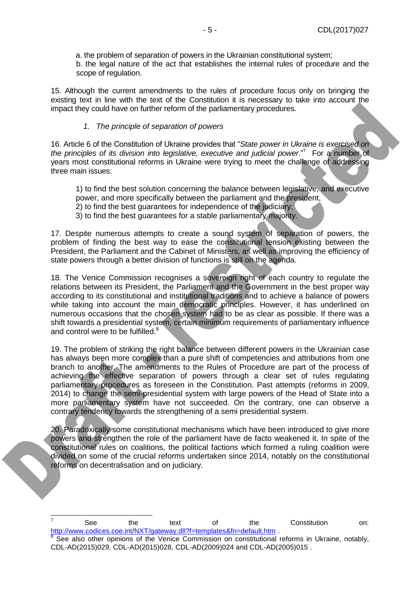a. the problem of separation of powers in the Ukrainian constitutional system; b. the legal nature of the act that establishes the internal rules of procedure and the scope of regulation.

15. Although the current amendments to the rules of procedure focus only on bringing the existing text in line with the text of the Constitution it is necessary to take into account the impact they could have on further reform of the parliamentary procedures.

#### *1. The principle of separation of powers*

<span id="page-4-0"></span>16. Article 6 of the Constitution of Ukraine provides that "*State power in Ukraine is exercised on*  the principles of its division into legislative, executive and judicial power."<sup>7</sup> For a number of years most constitutional reforms in Ukraine were trying to meet the challenge of addressing three main issues:

1) to find the best solution concerning the balance between legislative, and executive power, and more specifically between the parliament and the president,

- 2) to find the best guarantees for independence of the judiciary;
- 3) to find the best guarantees for a stable parliamentary majority.

17. Despite numerous attempts to create a sound system of separation of powers, the problem of finding the best way to ease the constitutional tension existing between the President, the Parliament and the Cabinet of Ministers, as well as improving the efficiency of state powers through a better division of functions is still on the agenda.

18. The Venice Commission recognises a sovereign right of each country to regulate the relations between its President, the Parliament and the Government in the best proper way according to its constitutional and institutional traditions and to achieve a balance of powers while taking into account the main democratic principles. However, it has underlined on numerous occasions that the chosen system had to be as clear as possible. If there was a shift towards a presidential system, certain minimum requirements of parliamentary influence and control were to be fulfilled.<sup>8</sup>

19. The problem of striking the right balance between different powers in the Ukrainian case has always been more complex than a pure shift of competencies and attributions from one branch to another. The amendments to the Rules of Procedure are part of the process of achieving the effective separation of powers through a clear set of rules regulating parliamentary procedures as foreseen in the Constitution. Past attempts (reforms in 2009, 2014) to change the semi-presidential system with large powers of the Head of State into a more parliamentary system have not succeeded. On the contrary, one can observe a contrary tendency towards the strengthening of a semi presidential system.

20. Paradoxically some constitutional mechanisms which have been introduced to give more powers and strengthen the role of the parliament have de facto weakened it. In spite of the constitutional rules on coalitions, the political factions which formed a ruling coalition were divided on some of the crucial reforms undertaken since 2014, notably on the constitutional reforms on decentralisation and on judiciary.

-

<sup>7</sup> See the text of the Constitution on: <http://www.codices.coe.int/NXT/gateway.dll?f=templates&fn=default.htm> .

<sup>&</sup>lt;sup>8</sup> See also other opinions of the Venice Commission on constitutional reforms in Ukraine, notably, CDL-AD(2015)029, CDL-AD(2015)028, CDL-AD(2009)024 and CDL-AD(2005)015 .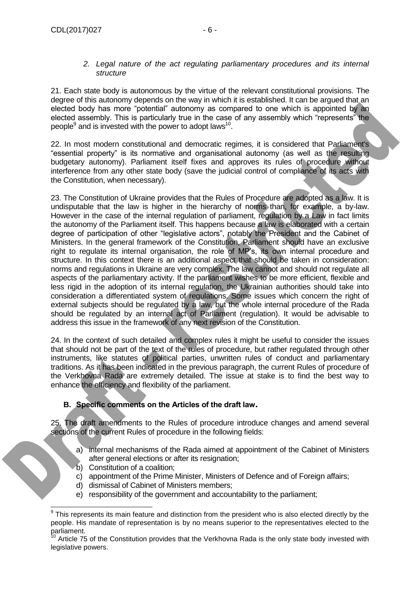#### *2. Legal nature of the act regulating parliamentary procedures and its internal structure*

<span id="page-5-0"></span>21. Each state body is autonomous by the virtue of the relevant constitutional provisions. The degree of this autonomy depends on the way in which it is established. It can be argued that an elected body has more "potential" autonomy as compared to one which is appointed by an elected assembly. This is particularly true in the case of any assembly which "represents" the people<sup>9</sup> and is invested with the power to adopt laws<sup>10</sup>.

22. In most modern constitutional and democratic regimes, it is considered that Parliament's "essential property" is its normative and organisational autonomy (as well as the resulting budgetary autonomy). Parliament itself fixes and approves its rules of procedure without interference from any other state body (save the judicial control of compliance of its acts with the Constitution, when necessary).

23. The Constitution of Ukraine provides that the Rules of Procedure are adopted as a law. It is undisputable that the law is higher in the hierarchy of norms than, for example, a by-law. However in the case of the internal regulation of parliament, regulation by a Law in fact limits the autonomy of the Parliament itself. This happens because a law is elaborated with a certain degree of participation of other "legislative actors", notably the President and the Cabinet of Ministers. In the general framework of the Constitution, Parliament should have an exclusive right to regulate its internal organisation, the role of MP's, its own internal procedure and structure. In this context there is an additional aspect that should be taken in consideration: norms and regulations in Ukraine are very complex. The law cannot and should not regulate all aspects of the parliamentary activity. If the parliament wishes to be more efficient, flexible and less rigid in the adoption of its internal regulation, the Ukrainian authorities should take into consideration a differentiated system of regulations. Some issues which concern the right of external subjects should be regulated by a law, but the whole internal procedure of the Rada should be regulated by an internal act of Parliament (regulation). It would be advisable to address this issue in the framework of any next revision of the Constitution.

24. In the context of such detailed and complex rules it might be useful to consider the issues that should not be part of the text of the rules of procedure, but rather regulated through other instruments, like statutes of political parties, unwritten rules of conduct and parliamentary traditions. As it has been indicated in the previous paragraph, the current Rules of procedure of the Verkhovna Rada are extremely detailed. The issue at stake is to find the best way to enhance the efficiency and flexibility of the parliament.

#### <span id="page-5-1"></span>**B. Specific comments on the Articles of the draft law.**

25. The draft amendments to the Rules of procedure introduce changes and amend several sections of the current Rules of procedure in the following fields:

- a) internal mechanisms of the Rada aimed at appointment of the Cabinet of Ministers after general elections or after its resignation;
- b) Constitution of a coalition;

- c) appointment of the Prime Minister, Ministers of Defence and of Foreign affairs;
- d) dismissal of Cabinet of Ministers members;
- e) responsibility of the government and accountability to the parliament;

 9 This represents its main feature and distinction from the president who is also elected directly by the people. His mandate of representation is by no means superior to the representatives elected to the parliament.

 $10$  Article 75 of the Constitution provides that the Verkhovna Rada is the only state body invested with legislative powers.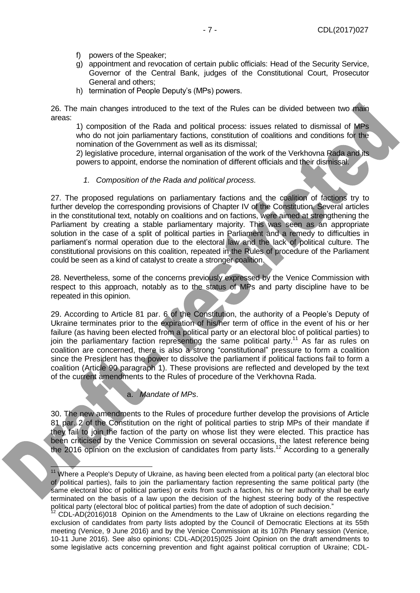- f) powers of the Speaker;
- g) appointment and revocation of certain public officials: Head of the Security Service, Governor of the Central Bank, judges of the Constitutional Court, Prosecutor General and others;
- h) termination of People Deputy's (MPs) powers.

26. The main changes introduced to the text of the Rules can be divided between two main areas:

1) composition of the Rada and political process: issues related to dismissal of MPs who do not join parliamentary factions, constitution of coalitions and conditions for the nomination of the Government as well as its dismissal;

2) legislative procedure, internal organisation of the work of the Verkhovna Rada and its powers to appoint, endorse the nomination of different officials and their dismissal.

#### *1. Composition of the Rada and political process.*

<span id="page-6-0"></span>27. The proposed regulations on parliamentary factions and the coalition of factions try to further develop the corresponding provisions of Chapter IV of the Constitution. Several articles in the constitutional text, notably on coalitions and on factions, were aimed at strengthening the Parliament by creating a stable parliamentary majority. This was seen as an appropriate solution in the case of a split of political parties in Parliament and a remedy to difficulties in parliament's normal operation due to the electoral law and the lack of political culture. The constitutional provisions on this coalition, repeated in the Rules of procedure of the Parliament could be seen as a kind of catalyst to create a stronger coalition.

28. Nevertheless, some of the concerns previously expressed by the Venice Commission with respect to this approach, notably as to the status of MPs and party discipline have to be repeated in this opinion.

29. According to Article 81 par. 6 of the Constitution, the authority of a People's Deputy of Ukraine terminates prior to the expiration of his/her term of office in the event of his or her failure (as having been elected from a political party or an electoral bloc of political parties) to join the parliamentary faction representing the same political party.<sup>11</sup> As far as rules on coalition are concerned, there is also a strong "constitutional" pressure to form a coalition since the President has the power to dissolve the parliament if political factions fail to form a coalition (Article 90 paragraph 1). These provisions are reflected and developed by the text of the current amendments to the Rules of procedure of the Verkhovna Rada.

#### a. *Mandate of MPs*.

-

30. The new amendments to the Rules of procedure further develop the provisions of Article 81 par. 2 of the Constitution on the right of political parties to strip MPs of their mandate if they fail to join the faction of the party on whose list they were elected. This practice has been criticised by the Venice Commission on several occasions, the latest reference being the 2016 opinion on the exclusion of candidates from party lists.<sup>12</sup> According to a generally

<sup>&</sup>lt;sup>11</sup> Where a People's Deputy of Ukraine, as having been elected from a political party (an electoral bloc of political parties), fails to join the parliamentary faction representing the same political party (the same electoral bloc of political parties) or exits from such a faction, his or her authority shall be early terminated on the basis of a law upon the decision of the highest steering body of the respective political party (electoral bloc of political parties) from the date of adoption of such decision."

 $2$  CDL-AD(2016)018 Opinion on the Amendments to the Law of Ukraine on elections regarding the exclusion of candidates from party lists adopted by the Council of Democratic Elections at its 55th meeting (Venice, 9 June 2016) and by the Venice Commission at its 107th Plenary session (Venice, 10-11 June 2016). See also opinions: CDL-AD(2015)025 Joint Opinion on the draft amendments to some legislative acts concerning prevention and fight against political corruption of Ukraine; CDL-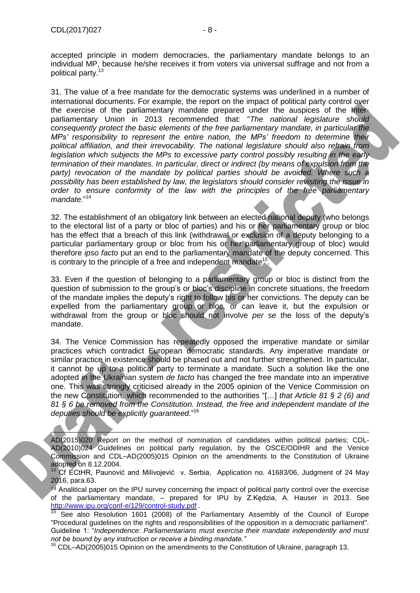Ę

accepted principle in modern democracies, the parliamentary mandate belongs to an individual MP, because he/she receives it from voters via universal suffrage and not from a political party.<sup>13</sup>

31. The value of a free mandate for the democratic systems was underlined in a number of international documents. For example, the report on the impact of political party control over the exercise of the parliamentary mandate prepared under the auspices of the Interparliamentary Union in 2013 recommended that: "*The national legislature should consequently protect the basic elements of the free parliamentary mandate, in particular the MPs' responsibility to represent the entire nation, the MPs' freedom to determine their political affiliation, and their irrevocability. The national legislature should also refrain from legislation which subjects the MPs to excessive party control possibly resulting in the early termination of their mandates. In particular, direct or indirect (by means of expulsion from the party) revocation of the mandate by political parties should be avoided. Where such a possibility has been established by law, the legislators should consider revisiting the issue in order to ensure conformity of the law with the principles of the free parliamentary* mandate."<sup>14</sup>

32. The establishment of an obligatory link between an elected national deputy (who belongs to the electoral list of a party or bloc of parties) and his or her parliamentary group or bloc has the effect that a breach of this link (withdrawal or exclusion of a deputy belonging to a particular parliamentary group or bloc from his or her parliamentary group of bloc) would therefore *ipso facto* put an end to the parliamentary mandate of the deputy concerned. This is contrary to the principle of a free and independent mandate<sup>15</sup>.

33. Even if the question of belonging to a parliamentary group or bloc is distinct from the question of submission to the group's or bloc's discipline in concrete situations, the freedom of the mandate implies the deputy's right to follow his or her convictions. The deputy can be expelled from the parliamentary group or bloc, or can leave it, but the expulsion or withdrawal from the group or bloc should not involve *per se* the loss of the deputy's mandate.

34. The Venice Commission has repeatedly opposed the imperative mandate or similar practices which contradict European democratic standards. Any imperative mandate or similar practice in existence should be phased out and not further strengthened. In particular, it cannot be up to a political party to terminate a mandate. Such a solution like the one adopted in the Ukrainian system *de facto* has changed the free mandate into an imperative one. This was strongly criticised already in the 2005 opinion of the Venice Commission on the new Constitution, which recommended to the authorities "[…] *that Article 81 § 2 (6) and 81 § 6 be removed from the Constitution. Instead, the free and independent mandate of the deputies should be explicitly guaranteed*."<sup>16</sup>

AD(2015)020 Report on the method of nomination of candidates within political parties; CDL-AD(2010)024 Guidelines on political party regulation, by the OSCE/ODIHR and the Venice Commission and CDL–AD(2005)015 Opinion on the amendments to the Constitution of Ukraine adopted on 8.12.2004.

<sup>13</sup> Cf ECtHR, Paunović and Milivojević v. Serbia, Application no. 41683/06, Judgment of 24 May 2016, para.63.

 $14$  Analitical paper on the IPU survey concerning the impact of political party control over the exercise of the parliamentary mandate, – prepared for IPU by Z.Kędzia, A. Hauser in 2013. See <http://www.ipu.org/conf-e/129/control-study.pdf> *.*

15 See also Resolution 1601 (2008) of the Parliamentary Assembly of the Council of Europe "Procedural guidelines on the rights and responsibilities of the opposition in a democratic parliament". Guideline 1: "*Independence: Parliamentarians must exercise their mandate independently and must not be bound by any instruction or receive a binding mandate."*

<sup>16</sup> CDL–AD(2005)015 Opinion on the amendments to the Constitution of Ukraine, paragraph 13.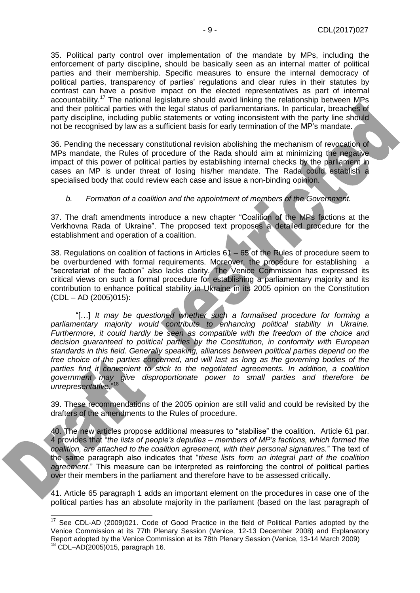35. Political party control over implementation of the mandate by MPs, including the enforcement of party discipline, should be basically seen as an internal matter of political parties and their membership. Specific measures to ensure the internal democracy of political parties, transparency of parties' regulations and clear rules in their statutes by contrast can have a positive impact on the elected representatives as part of internal accountability.<sup>17</sup> The national legislature should avoid linking the relationship between MPs and their political parties with the legal status of parliamentarians. In particular, breaches of party discipline, including public statements or voting inconsistent with the party line should not be recognised by law as a sufficient basis for early termination of the MP's mandate.

36. Pending the necessary constitutional revision abolishing the mechanism of revocation of MPs mandate, the Rules of procedure of the Rada should aim at minimizing the negative impact of this power of political parties by establishing internal checks by the parliament in cases an MP is under threat of losing his/her mandate. The Rada could establish a specialised body that could review each case and issue a non-binding opinion.

#### *b. Formation of a coalition and the appointment of members of the Government.*

37. The draft amendments introduce a new chapter "Coalition of the MPs factions at the Verkhovna Rada of Ukraine". The proposed text proposes a detailed procedure for the establishment and operation of a coalition.

38. Regulations on coalition of factions in Articles 61 – 65 of the Rules of procedure seem to be overburdened with formal requirements. Moreover, the procedure for establishing a "secretariat of the faction" also lacks clarity. The Venice Commission has expressed its critical views on such a formal procedure for establishing a parliamentary majority and its contribution to enhance political stability in Ukraine in its 2005 opinion on the Constitution  $(CDL - AD (2005)015)$ :

"[…] *It may be questioned whether such a formalised procedure for forming a parliamentary majority would contribute to enhancing political stability in Ukraine. Furthermore, it could hardly be seen as compatible with the freedom of the choice and decision guaranteed to political parties by the Constitution, in conformity with European standards in this field. Generally speaking, alliances between political parties depend on the free choice of the parties concerned, and will last as long as the governing bodies of the parties find it convenient to stick to the negotiated agreements. In addition, a coalition government may give disproportionate power to small parties and therefore be unrepresentative.*" 18

39. These recommendations of the 2005 opinion are still valid and could be revisited by the drafters of the amendments to the Rules of procedure.

40. The new articles propose additional measures to "stabilise" the coalition. Article 61 par. 4 provides that "*the lists of people's deputies – members of MP's factions, which formed the coalition, are attached to the coalition agreement, with their personal signatures.*" The text of the same paragraph also indicates that "*these lists form an integral part of the coalition agreement*." This measure can be interpreted as reinforcing the control of political parties over their members in the parliament and therefore have to be assessed critically.

41. Article 65 paragraph 1 adds an important element on the procedures in case one of the political parties has an absolute majority in the parliament (based on the last paragraph of

-

<sup>&</sup>lt;sup>17</sup> See CDL-AD (2009)021. Code of Good Practice in the field of Political Parties adopted by the Venice Commission at its 77th Plenary Session (Venice, 12-13 December 2008) and Explanatory Report adopted by the Venice Commission at its 78th Plenary Session (Venice, 13-14 March 2009)  $18$  CDL-AD(2005)015, paragraph 16.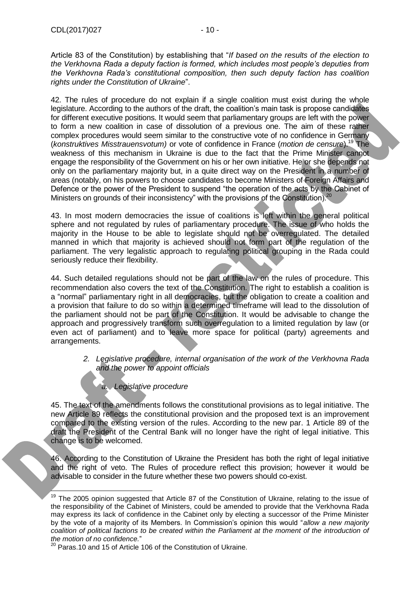Article 83 of the Constitution) by establishing that "*If based on the results of the election to the Verkhovna Rada a deputy faction is formed, which includes most people's deputies from the Verkhovna Rada's constitutional composition, then such deputy faction has coalition rights under the Constitution of Ukraine*".

42. The rules of procedure do not explain if a single coalition must exist during the whole legislature. According to the authors of the draft, the coalition's main task is propose candidates for different executive positions. It would seem that parliamentary groups are left with the power to form a new coalition in case of dissolution of a previous one. The aim of these rather complex procedures would seem similar to the constructive vote of no confidence in Germany (*konstruktives Misstrauensvotum)* or vote of confidence in France (*motion de censure*).<sup>19</sup> The weakness of this mechanism in Ukraine is due to the fact that the Prime Minister cannot engage the responsibility of the Government on his or her own initiative. He or she depends not only on the parliamentary majority but, in a quite direct way on the President in a number of areas (notably, on his powers to choose candidates to become Ministers of Foreign Affairs and Defence or the power of the President to suspend "the operation of the acts by the Cabinet of Ministers on grounds of their inconsistency" with the provisions of the Constitution).<sup>20</sup>

43. In most modern democracies the issue of coalitions is left within the general political sphere and not regulated by rules of parliamentary procedure. The issue of who holds the majority in the House to be able to legislate should not be overregulated. The detailed manned in which that majority is achieved should not form part of the regulation of the parliament. The very legalistic approach to regulating political grouping in the Rada could seriously reduce their flexibility.

44. Such detailed regulations should not be part of the law on the rules of procedure. This recommendation also covers the text of the Constitution. The right to establish a coalition is a "normal" parliamentary right in all democracies, but the obligation to create a coalition and a provision that failure to do so within a determined timeframe will lead to the dissolution of the parliament should not be part of the Constitution. It would be advisable to change the approach and progressively transform such overregulation to a limited regulation by law (or even act of parliament) and to leave more space for political (party) agreements and arrangements.

> <span id="page-9-0"></span>*2. Legislative procedure, internal organisation of the work of the Verkhovna Rada and the power to appoint officials*

## *a. Legislative procedure*

45. The text of the amendments follows the constitutional provisions as to legal initiative. The new Article 89 reflects the constitutional provision and the proposed text is an improvement compared to the existing version of the rules. According to the new par. 1 Article 89 of the draft the President of the Central Bank will no longer have the right of legal initiative. This change is to be welcomed.

46. According to the Constitution of Ukraine the President has both the right of legal initiative and the right of veto. The Rules of procedure reflect this provision; however it would be advisable to consider in the future whether these two powers should co-exist.

ł <sup>19</sup> The 2005 opinion suggested that Article 87 of the Constitution of Ukraine, relating to the issue of the responsibility of the Cabinet of Ministers, could be amended to provide that the Verkhovna Rada may express its lack of confidence in the Cabinet only by electing a successor of the Prime Minister by the vote of a majority of its Members. In Commission's opinion this would "*allow a new majority*  coalition of political factions to be created within the Parliament at the moment of the introduction of *the motion of no confidence.*"

 $20$  Paras.10 and 15 of Article 106 of the Constitution of Ukraine.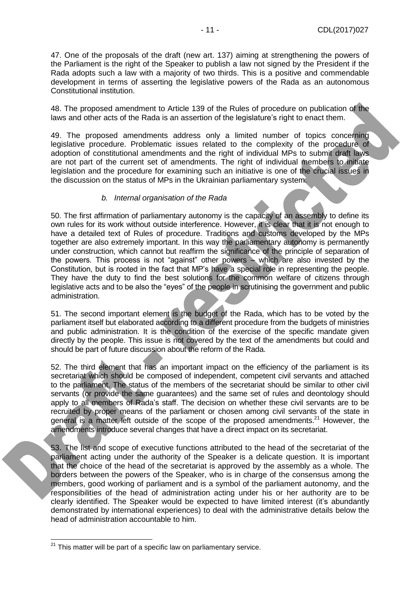47. One of the proposals of the draft (new art. 137) aiming at strengthening the powers of the Parliament is the right of the Speaker to publish a law not signed by the President if the Rada adopts such a law with a majority of two thirds. This is a positive and commendable development in terms of asserting the legislative powers of the Rada as an autonomous Constitutional institution.

48. The proposed amendment to Article 139 of the Rules of procedure on publication of the laws and other acts of the Rada is an assertion of the legislature's right to enact them.

49. The proposed amendments address only a limited number of topics concerning legislative procedure. Problematic issues related to the complexity of the procedure of adoption of constitutional amendments and the right of individual MPs to submit draft laws are not part of the current set of amendments. The right of individual members to initiate legislation and the procedure for examining such an initiative is one of the crucial issues in the discussion on the status of MPs in the Ukrainian parliamentary system.

#### *b. Internal organisation of the Rada*

50. The first affirmation of parliamentary autonomy is the capacity of an assembly to define its own rules for its work without outside interference. However, it is clear that it is not enough to have a detailed text of Rules of procedure. Traditions and customs developed by the MPs together are also extremely important. In this way the parliamentary autonomy is permanently under construction, which cannot but reaffirm the significance of the principle of separation of the powers. This process is not "against" other powers – which are also invested by the Constitution, but is rooted in the fact that MP's have a special role in representing the people. They have the duty to find the best solutions for the common welfare of citizens through legislative acts and to be also the "eyes" of the people in scrutinising the government and public administration.

51. The second important element is the budget of the Rada, which has to be voted by the parliament itself but elaborated according to a different procedure from the budgets of ministries and public administration. It is the condition of the exercise of the specific mandate given directly by the people. This issue is not covered by the text of the amendments but could and should be part of future discussion about the reform of the Rada.

52. The third element that has an important impact on the efficiency of the parliament is its secretariat which should be composed of independent, competent civil servants and attached to the parliament. The status of the members of the secretariat should be similar to other civil servants (or provide the same guarantees) and the same set of rules and deontology should apply to all members of Rada's staff. The decision on whether these civil servants are to be recruited by proper means of the parliament or chosen among civil servants of the state in general is a matter left outside of the scope of the proposed amendments.<sup>21</sup> However, the amendments introduce several changes that have a direct impact on its secretariat.

53. The list and scope of executive functions attributed to the head of the secretariat of the parliament acting under the authority of the Speaker is a delicate question. It is important that the choice of the head of the secretariat is approved by the assembly as a whole. The borders between the powers of the Speaker, who is in charge of the consensus among the members, good working of parliament and is a symbol of the parliament autonomy, and the responsibilities of the head of administration acting under his or her authority are to be clearly identified. The Speaker would be expected to have limited interest (it's abundantly demonstrated by international experiences) to deal with the administrative details below the head of administration accountable to him.

-

 $21$  This matter will be part of a specific law on parliamentary service.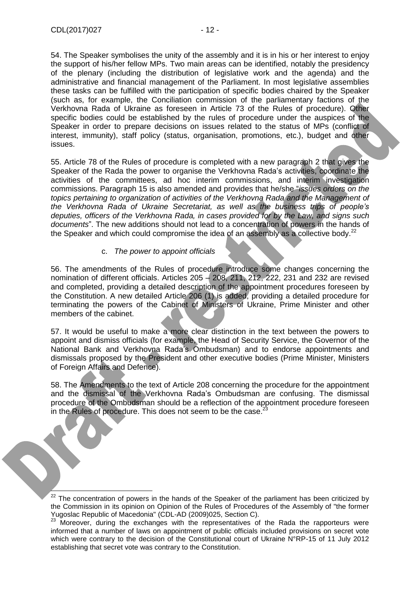ł

54. The Speaker symbolises the unity of the assembly and it is in his or her interest to enjoy the support of his/her fellow MPs. Two main areas can be identified, notably the presidency of the plenary (including the distribution of legislative work and the agenda) and the administrative and financial management of the Parliament. In most legislative assemblies these tasks can be fulfilled with the participation of specific bodies chaired by the Speaker (such as, for example, the Conciliation commission of the parliamentary factions of the Verkhovna Rada of Ukraine as foreseen in Article 73 of the Rules of procedure). Other specific bodies could be established by the rules of procedure under the auspices of the Speaker in order to prepare decisions on issues related to the status of MPs (conflict of interest, immunity), staff policy (status, organisation, promotions, etc.), budget and other issues.

55. Article 78 of the Rules of procedure is completed with a new paragraph 2 that gives the Speaker of the Rada the power to organise the Verkhovna Rada's activities, coordinate the activities of the committees, ad hoc interim commissions, and interim investigation commissions. Paragraph 15 is also amended and provides that he/she "*issues orders on the topics pertaining to organization of activities of the Verkhovna Rada and the Management of the Verkhovna Rada of Ukraine Secretariat, as well as the business trips of people's deputies, officers of the Verkhovna Rada, in cases provided for by the Law, and signs such documents*". The new additions should not lead to a concentration of powers in the hands of the Speaker and which could compromise the idea of an assembly as a collective body. $^{22}$ 

#### c. *The power to appoint officials*

56. The amendments of the Rules of procedure introduce some changes concerning the nomination of different officials. Articles 205 – 208, 211, 212, 222, 231 and 232 are revised and completed, providing a detailed description of the appointment procedures foreseen by the Constitution. A new detailed Article 206 (1) is added, providing a detailed procedure for terminating the powers of the Cabinet of Ministers of Ukraine, Prime Minister and other members of the cabinet.

57. It would be useful to make a more clear distinction in the text between the powers to appoint and dismiss officials (for example, the Head of Security Service, the Governor of the National Bank and Verkhovna Rada's Ombudsman) and to endorse appointments and dismissals proposed by the President and other executive bodies (Prime Minister, Ministers of Foreign Affairs and Defence).

58. The Amendments to the text of Article 208 concerning the procedure for the appointment and the dismissal of the Verkhovna Rada's Ombudsman are confusing. The dismissal procedure of the Ombudsman should be a reflection of the appointment procedure foreseen in the Rules of procedure. This does not seem to be the case.<sup>2</sup>

 $22$  The concentration of powers in the hands of the Speaker of the parliament has been criticized by the Commission in its opinion on Opinion of the Rules of Procedures of the Assembly of "the former Yugoslac Republic of Macedonia" (CDL-AD (2009)025, Section C).

<sup>&</sup>lt;sup>23</sup> Moreover, during the exchanges with the representatives of the Rada the rapporteurs were informed that a number of laws on appointment of public officials included provisions on secret vote which were contrary to the decision of the Constitutional court of Ukraine N°RP-15 of 11 July 2012 establishing that secret vote was contrary to the Constitution.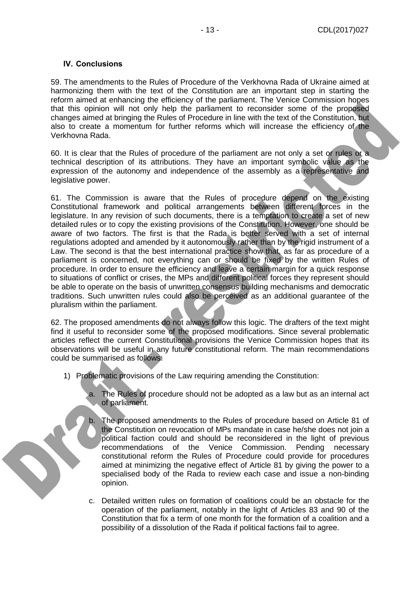#### <span id="page-12-0"></span>**IV. Conclusions**

59. The amendments to the Rules of Procedure of the Verkhovna Rada of Ukraine aimed at harmonizing them with the text of the Constitution are an important step in starting the reform aimed at enhancing the efficiency of the parliament. The Venice Commission hopes that this opinion will not only help the parliament to reconsider some of the proposed changes aimed at bringing the Rules of Procedure in line with the text of the Constitution, but also to create a momentum for further reforms which will increase the efficiency of the Verkhovna Rada.

60. It is clear that the Rules of procedure of the parliament are not only a set or rules or a technical description of its attributions. They have an important symbolic value as the expression of the autonomy and independence of the assembly as a representative and legislative power.

61. The Commission is aware that the Rules of procedure depend on the existing Constitutional framework and political arrangements between different forces in the legislature. In any revision of such documents, there is a temptation to create a set of new detailed rules or to copy the existing provisions of the Constitution. However, one should be aware of two factors. The first is that the Rada is better served with a set of internal regulations adopted and amended by it autonomously rather than by the rigid instrument of a Law. The second is that the best international practice show that, as far as procedure of a parliament is concerned, not everything can or should be fixed by the written Rules of procedure. In order to ensure the efficiency and leave a certain margin for a quick response to situations of conflict or crises, the MPs and different political forces they represent should be able to operate on the basis of unwritten consensus building mechanisms and democratic traditions. Such unwritten rules could also be perceived as an additional guarantee of the pluralism within the parliament.

62. The proposed amendments do not always follow this logic. The drafters of the text might find it useful to reconsider some of the proposed modifications. Since several problematic articles reflect the current Constitutional provisions the Venice Commission hopes that its observations will be useful in any future constitutional reform. The main recommendations could be summarised as follows:

- 1) Problematic provisions of the Law requiring amending the Constitution:
	- a. The Rules of procedure should not be adopted as a law but as an internal act of parliament.
		- b. The proposed amendments to the Rules of procedure based on Article 81 of the Constitution on revocation of MPs mandate in case he/she does not join a political faction could and should be reconsidered in the light of previous recommendations of the Venice Commission. Pending necessary constitutional reform the Rules of Procedure could provide for procedures aimed at minimizing the negative effect of Article 81 by giving the power to a specialised body of the Rada to review each case and issue a non-binding opinion.
	- c. Detailed written rules on formation of coalitions could be an obstacle for the operation of the parliament, notably in the light of Articles 83 and 90 of the Constitution that fix a term of one month for the formation of a coalition and a possibility of a dissolution of the Rada if political factions fail to agree.